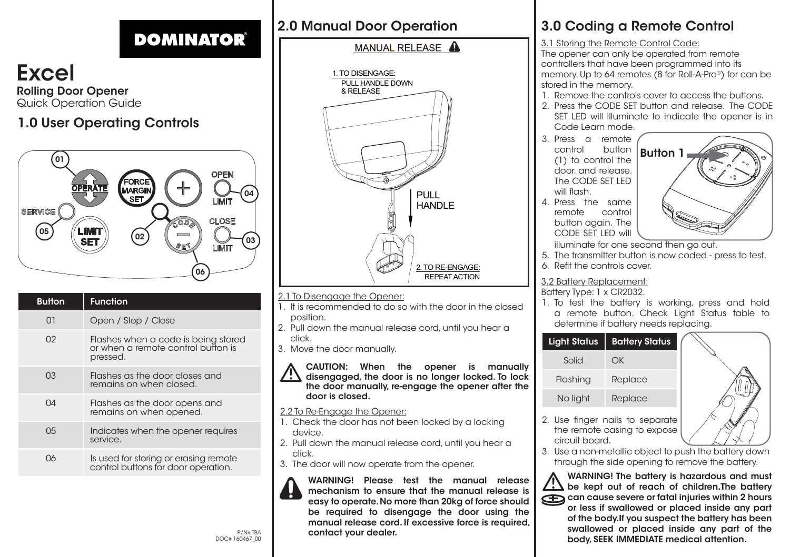# **DOMINATOR®**

Excel Rolling Door Opener Quick Operation Guide

### 1.0 User Operating Controls



| <b>Button</b> | <b>Function</b>                                                                       |
|---------------|---------------------------------------------------------------------------------------|
| 01            | Open / Stop / Close                                                                   |
| 02            | Flashes when a code is being stored<br>or when a remote control button is<br>pressed. |
| 03            | Flashes as the door closes and<br>remains on when closed.                             |
| NΔ            | Flashes as the door opens and<br>remains on when opened.                              |
| 05            | Indicates when the opener requires<br>service.                                        |
| იგ            | Is used for storing or erasing remote<br>control buttons for door operation.          |
|               |                                                                                       |

### 2.0 Manual Door Operation

#### MANUAL RELEASE A



- 2.1 To Disengage the Opener:
- 1. It is recommended to do so with the door in the closed position.
- 2. Pull down the manual release cord, until you hear a click.
- 3. Move the door manually.

CAUTION: When the opener is manually disengaged, the door is no longer locked. To lock the door manually, re-engage the opener after the door is closed.

#### 2.2 To Re-Engage the Opener:

- 1. Check the door has not been locked by a locking device.
- 2. Pull down the manual release cord, until you hear a click.
- 3. The door will now operate from the opener.



WARNING! Please test the manual release mechanism to ensure that the manual release is easy to operate. No more than 20kg of force should be required to disengage the door using the manual release cord. If excessive force is required, contact your dealer.

## 3.0 Coding a Remote Control

3.1 Storing the Remote Control Code:

The opener can only be operated from remote controllers that have been programmed into its memory. Up to 64 remotes (8 for Roll-A-Pro®) for can be stored in the memory.

- 1. Remove the controls cover to access the buttons.
- 2. Press the CODE SET button and release. The CODE SET LED will illuminate to indicate the opener is in Code Learn mode.
- 3. Press a remote<br>control button button (1) to control the door. and release. The CODE SET LED will flash 4. Press the same

remote control button again. The



- CODE SET LED will illuminate for one second then go out.
- 5. The transmitter button is now coded press to test.
- 6. Refit the controls cover.

#### 3.2 Battery Replacement:

#### Battery Type: 1 x CR2032.

1. To test the battery is working, press and hold a remote button. Check Light Status table to determine if battery needs replacing.





- 2. Use finger nails to separate the remote casing to expose circuit board.
- 3. Use a non-metallic object to push the battery down through the side opening to remove the battery.

WARNING! The battery is hazardous and must  $\frac{1}{2}$  be kept out of reach of children.The battery can cause severe or fatal injuries within 2 hours or less if swallowed or placed inside any part of the body.If you suspect the battery has been swallowed or placed inside any part of the body, SEEK IMMEDIATE medical attention.